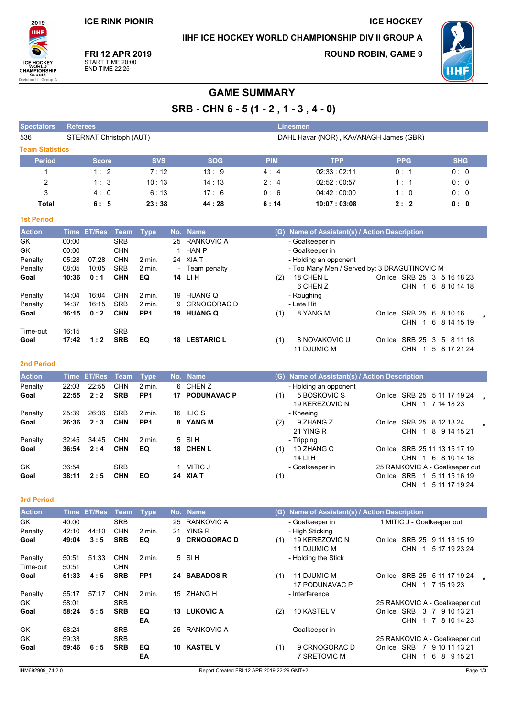**ICE RINK PIONIR** 

IIHF ICE HOCKEY WORLD CHAMPIONSHIP DIV II GROUP A

Linesmen

**ICE HOCKEY** 

2019 **IIHF ICE HOCH** CHAMPIONSHIP on II - G

Spectators Referees

**FRI 12 APR 2019** START TIME 20:00<br>END TIME 22:25

**ROUND ROBIN, GAME 9** 



# **GAME SUMMARY**

SRB - CHN 6 - 5 (1 - 2, 1 - 3, 4 - 0)

| 536                    | STERNAT Christoph (AUT) |            |            | DAHL Havar (NOR), KAVANAGH James (GBR) |                    |            |            |  |  |  |  |
|------------------------|-------------------------|------------|------------|----------------------------------------|--------------------|------------|------------|--|--|--|--|
| <b>Team Statistics</b> |                         |            |            |                                        |                    |            |            |  |  |  |  |
| <b>Period</b>          | <b>Score</b>            | <b>SVS</b> | <b>SOG</b> | <b>PIM</b>                             | <b>TPP</b>         | <b>PPG</b> | <b>SHG</b> |  |  |  |  |
|                        | $1 \cdot 2$             | 7:12       | 13:9       | 4:4                                    | 02:33:02:11        | 0:1        | 0:0        |  |  |  |  |
| 2                      | 1:3                     | 10:13      | 14:13      | $2 \cdot 4$                            | 02:52:00:57        | 1:1        | 0:0        |  |  |  |  |
| 3                      | 4:0                     | 6:13       | 17:6       | 0:6                                    | $04.42 \div 00.00$ | 1:0        | 0:0        |  |  |  |  |
| Total                  | 6:5                     | 23:38      | 44 : 28    | 6:14                                   | 10:07:03:08        | 2:2        | 0: 0       |  |  |  |  |

### **1st Period**

| <b>Action</b> |       | Time ET/Res | Team       | Type              |     | No. Name          |     | (G) Name of Assistant(s) / Action Description |        |                   |                            |  |
|---------------|-------|-------------|------------|-------------------|-----|-------------------|-----|-----------------------------------------------|--------|-------------------|----------------------------|--|
| GK            | 00:00 |             | <b>SRB</b> |                   | 25  | RANKOVIC A        |     | - Goalkeeper in                               |        |                   |                            |  |
| GK            | 00:00 |             | <b>CHN</b> |                   |     | <b>HAN P</b>      |     | - Goalkeeper in                               |        |                   |                            |  |
| Penalty       | 05:28 | 07:28       | <b>CHN</b> | $2$ min.          | 24  | XIA T             |     | - Holding an opponent                         |        |                   |                            |  |
| Penalty       | 08:05 | 10:05       | <b>SRB</b> | $2$ min.          |     | - Team penalty    |     | - Too Many Men / Served by: 3 DRAGUTINOVIC M  |        |                   |                            |  |
| Goal          | 10:36 | 0:1         | <b>CHN</b> | EQ                |     | 14 LIH            | (2) | 18 CHEN L                                     |        |                   | On Ice SRB 25 3 5 16 18 23 |  |
|               |       |             |            |                   |     |                   |     | 6 CHEN Z                                      |        | <b>CHN</b>        | 1 6 8 10 14 18             |  |
| Penalty       | 14:04 | 16:04       | <b>CHN</b> | $2 \text{ min}$ . | 19  | <b>HUANG Q</b>    |     | - Roughing                                    |        |                   |                            |  |
| Penalty       | 14:37 | 16:15       | <b>SRB</b> | 2 min.            |     | 9 CRNOGORAC D     |     | - Late Hit                                    |        |                   |                            |  |
| Goal          | 16:15 | 0:2         | <b>CHN</b> | PP <sub>1</sub>   | 19. | <b>HUANG Q</b>    | (1) | 8 YANG M                                      | On Ice | SRB 25 6 8 10 16  |                            |  |
|               |       |             |            |                   |     |                   |     |                                               |        | <b>CHN</b>        | 1 6 8 14 15 19             |  |
| Time-out      | 16:15 |             | <b>SRB</b> |                   |     |                   |     |                                               |        |                   |                            |  |
| Goal          | 17:42 | 1:2         | <b>SRB</b> | EQ                | 18  | <b>LESTARIC L</b> | (1) | 8 NOVAKOVIC U                                 |        | On Ice SRB 25 3 5 | 8 11 18                    |  |
|               |       |             |            |                   |     |                   |     | 11 DJUMIC M                                   |        | <b>CHN</b>        | 5 8 17 21 24               |  |

## 2nd Period

| <b>Action</b> |       | Time ET/Res Team |            | <b>Type</b>     | No. Name       |     | (G) Name of Assistant(s) / Action Description |            |                   |                                |  |
|---------------|-------|------------------|------------|-----------------|----------------|-----|-----------------------------------------------|------------|-------------------|--------------------------------|--|
| Penalty       | 22:03 | 22:55            | <b>CHN</b> | $2$ min.        | 6 CHENZ        |     | - Holding an opponent                         |            |                   |                                |  |
| Goal          | 22:55 | 2:2              | <b>SRB</b> | PP <sub>1</sub> | 17 PODUNAVAC P | (1) | 5 BOSKOVIC S                                  |            |                   | On Ice SRB 25 5 11 17 19 24    |  |
|               |       |                  |            |                 |                |     | 19 KEREZOVIC N                                |            | CHN               | 1 7 14 18 23                   |  |
| Penalty       | 25.39 | 26:36            | <b>SRB</b> | $2$ min.        | 16 ILIC S      |     | - Kneeing                                     |            |                   |                                |  |
| Goal          | 26:36 | 2:3              | <b>CHN</b> | PP <sub>1</sub> | 8 YANG M       | (2) | 9 ZHANG Z                                     | On Ice     |                   | SRB 25 8 12 13 24              |  |
|               |       |                  |            |                 |                |     | 21 YING R                                     |            | <b>CHN</b><br>-1  | 8 9 14 15 21                   |  |
| Penalty       | 32:45 | 34:45            | <b>CHN</b> | $2$ min.        | $5$ SIH        |     | - Tripping                                    |            |                   |                                |  |
| Goal          | 36:54 | 2:4              | <b>CHN</b> | EQ              | 18 CHEN L      | (1) | 10 ZHANG C                                    |            |                   | On Ice SRB 25 11 13 15 17 19   |  |
|               |       |                  |            |                 |                |     | 14 LI H                                       |            | CHN.<br>$\cdot$ 1 | 6 8 10 14 18                   |  |
| GK            | 36.54 |                  | <b>SRB</b> |                 | MITIC J        |     | - Goalkeeper in                               |            |                   | 25 RANKOVIC A - Goalkeeper out |  |
| Goal          | 38:11 | 2:5              | <b>CHN</b> | EQ              | 24 XIA T       | (1) |                                               | On Ice SRB | - 1               | 5 11 15 16 19                  |  |

## 3rd Period

| <b>Action</b> | Time  | <b>ET/Res</b> | Team       | <b>Type</b>     |     | No. Name           |     | (G) Name of Assistant(s) / Action Description |                                               |
|---------------|-------|---------------|------------|-----------------|-----|--------------------|-----|-----------------------------------------------|-----------------------------------------------|
| GK.           | 40:00 |               | <b>SRB</b> |                 | 25  | RANKOVIC A         |     | - Goalkeeper in                               | 1 MITIC J - Goalkeeper out                    |
| Penalty       | 42:10 | 44:10         | <b>CHN</b> | $2$ min.        | 21  | YING R             |     | - High Sticking                               |                                               |
| Goal          | 49:04 | 3:5           | <b>SRB</b> | EQ              | 9   | <b>CRNOGORAC D</b> | (1) | 19 KEREZOVIC N                                | SRB 25 9 11 13 15 19<br>On Ice                |
|               |       |               |            |                 |     |                    |     | 11 DJUMIC M                                   | <b>CHN</b><br>5 17 19 23 24                   |
| Penalty       | 50:51 | 51:33         | <b>CHN</b> | $2$ min.        |     | $5$ SIH            |     | - Holding the Stick                           |                                               |
| Time-out      | 50:51 |               | <b>CHN</b> |                 |     |                    |     |                                               |                                               |
| Goal          | 51:33 | 4:5           | <b>SRB</b> | PP <sub>1</sub> |     | 24 SABADOS R       | (1) | 11 DJUMIC M                                   | SRB 25<br>5 11 17 19 24<br>On Ice             |
|               |       |               |            |                 |     |                    |     | 17 PODUNAVAC P                                | <b>CHN</b><br>7 15 19 23<br>-1                |
| Penalty       | 55:17 | 57:17         | <b>CHN</b> | $2$ min.        | 15  | <b>ZHANG H</b>     |     | - Interference                                |                                               |
| GK            | 58:01 |               | <b>SRB</b> |                 |     |                    |     |                                               | 25 RANKOVIC A - Goalkeeper out                |
| Goal          | 58:24 | 5:5           | <b>SRB</b> | EQ              | 13  | <b>LUKOVIC A</b>   | (2) | 10 KASTEL V                                   | <b>SRB</b><br>3<br>9 10 13 21<br>-7<br>On Ice |
|               |       |               |            | EA              |     |                    |     |                                               | <b>CHN</b><br>8 10 14 23<br>1 7               |
| GK            | 58.24 |               | <b>SRB</b> |                 | 25  | RANKOVIC A         |     | - Goalkeeper in                               |                                               |
| GK            | 59.33 |               | <b>SRB</b> |                 |     |                    |     |                                               | 25 RANKOVIC A - Goalkeeper out                |
| Goal          | 59:46 | 6:5           | <b>SRB</b> | EQ              | 10. | <b>KASTEL V</b>    | (1) | 9 CRNOGORAC D                                 | <b>SRB</b><br>9 10 11 13 21<br>7<br>On Ice    |
|               |       |               |            | EA              |     |                    |     | 7 SRETOVIC M                                  | <b>CHN</b><br>6<br>8<br>9 15 21               |

CHN 1 5 11 17 19 24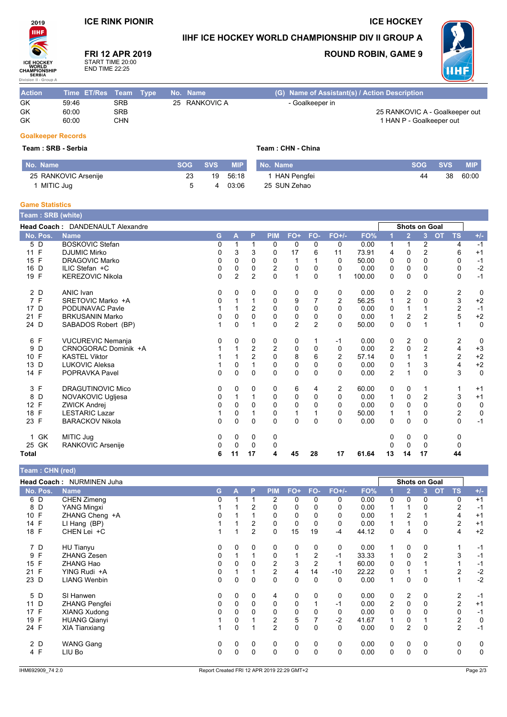# **ICE RINK PIONIR**

# IIHF ICE HOCKEY WORLD CHAMPIONSHIP DIV II GROUP A

FRI 12 APR 2019 START TIME 20:00<br>END TIME 22:25



**ROUND ROBIN, GAME 9** 

**ICE HOCKEY** 



| <b>Action</b>             | Time ET/Res Team Type |            |  | No. Name      | (G) Name of Assistant(s) / Action Description |
|---------------------------|-----------------------|------------|--|---------------|-----------------------------------------------|
| GK                        | 59:46                 | SRB        |  | 25 RANKOVIC A | - Goalkeeper in                               |
| <b>GK</b>                 | 60:00                 | <b>SRB</b> |  |               | 25 RANKOVIC A - Goalkeeper out                |
| GK                        | 60:00                 | CHN        |  |               | 1 HAN P - Goalkeeper out                      |
| <b>Goalkeeper Records</b> |                       |            |  |               |                                               |

#### Team: SRB - Serbia

 $2019$ **IIHF** 

ICE HOCH

CHAMPIONSHIP on II - Gi

| Team: SRB - Serbia   |     |            | Team: CHN - China |               |            |            |            |  |  |  |
|----------------------|-----|------------|-------------------|---------------|------------|------------|------------|--|--|--|
| No. Name             | SOG | <b>SVS</b> | <b>MIP</b>        | No. Name      | <b>SOG</b> | <b>SVS</b> | <b>MIP</b> |  |  |  |
| 25 RANKOVIC Arsenije | 23  |            | 19 56:18          | 1 HAN Pengfei | 44         | 38         | 60:00      |  |  |  |
| MITIC Juq            | 5   | 4          | 03:06             | 25 SUN Zehao  |            |            |            |  |  |  |

### **Game Statistics**

| 「eam : SRB (white)   |                                         |          |                |                |                |                |                |             |        |                |                      |                |           |                         |             |
|----------------------|-----------------------------------------|----------|----------------|----------------|----------------|----------------|----------------|-------------|--------|----------------|----------------------|----------------|-----------|-------------------------|-------------|
|                      | <b>Head Coach: DANDENAULT Alexandre</b> |          |                |                |                |                |                |             |        |                | <b>Shots on Goal</b> |                |           |                         |             |
| No. Pos.             | <b>Name</b>                             | G        | A              | P              | <b>PIM</b>     | FO+            | FO-            | $FO+/-$     | FO%    |                | $\overline{2}$       | 3              | <b>OT</b> | <b>TS</b>               | $+/-$       |
| 5 D                  | <b>BOSKOVIC Stefan</b>                  | 0        |                |                | 0              | 0              | 0              | 0           | 0.00   | 1              |                      | 2              |           | 4                       | $-1$        |
| F<br>11              | <b>DJUMIC Mirko</b>                     | 0        | 3              | 3              | 0              | 17             | 6              | 11          | 73.91  | 4              | 0                    | 2              |           | 6                       | $+1$        |
| 15 F                 | <b>DRAGOVIC Marko</b>                   | 0        | 0              | 0              | 0              |                |                | 0           | 50.00  | 0              | 0                    | $\Omega$       |           | 0                       | $-1$        |
| 16 D                 | ILIC Stefan +C                          | 0        | 0              | 0              | $\overline{2}$ | 0              | 0              | 0           | 0.00   | 0              | 0                    | 0              |           | 0                       | $-2$        |
| 19 F                 | <b>KEREZOVIC Nikola</b>                 | 0        | $\overline{2}$ | $\overline{2}$ | $\Omega$       | 1              | $\Omega$       | 1           | 100.00 | 0              | $\Omega$             | 0              |           | $\Omega$                | $-1$        |
| 2 D                  | <b>ANIC Ivan</b>                        | 0        | 0              | 0              | 0              | 0              | 0              | 0           | 0.00   | 0              | 2                    | 0              |           | 2                       | $\mathbf 0$ |
| 7F                   | SRETOVIC Marko +A                       | $\Omega$ |                |                | $\mathbf 0$    | 9              | 7              | 2           | 56.25  | 1              | $\overline{2}$       | 0              |           | 3                       | $+2$        |
| 17 D                 | PODUNAVAC Pavle                         |          |                | 2              | 0              | 0              | 0              | 0           | 0.00   | 0              |                      |                |           | $\overline{\mathbf{c}}$ | $-1$        |
| 21 F                 | <b>BRKUSANIN Marko</b>                  | 0        | 0              | 0              | 0              | 0              | $\mathbf 0$    | 0           | 0.00   | 1              | $\overline{2}$       | $\overline{2}$ |           | 5                       | $+2$        |
| 24 D                 | SABADOS Robert (BP)                     |          | 0              | 1              | 0              | $\overline{2}$ | $\overline{2}$ | $\Omega$    | 50.00  | 0              | 0                    | 1              |           | 1                       | $\mathbf 0$ |
| 6 F                  | <b>VUCUREVIC Nemanja</b>                | 0        | $\Omega$       | 0              | 0              | 0              |                | -1          | 0.00   | 0              | 2                    | 0              |           | 2                       | 0           |
| D<br>9               | CRNOGORAC Dominik +A                    |          |                | $\overline{2}$ | $\overline{2}$ | 0              | 0              | 0           | 0.00   | $\overline{2}$ | 0                    | $\overline{2}$ |           | 4                       | $+3$        |
| F<br>10 <sup>°</sup> | <b>KASTEL Viktor</b>                    |          |                | $\overline{2}$ | $\Omega$       | 8              | 6              | 2           | 57.14  | 0              |                      |                |           | 2                       | $+2$        |
| 13 D                 | <b>LUKOVIC Aleksa</b>                   |          | 0              |                | $\mathbf 0$    | 0              | 0              | $\mathbf 0$ | 0.00   | 0              |                      | 3              |           | 4                       | $+2$        |
| 14 F                 | POPRAVKA Pavel                          | $\Omega$ | $\Omega$       | $\Omega$       | $\Omega$       | $\mathbf{0}$   | $\Omega$       | $\Omega$    | 0.00   | $\overline{2}$ |                      | $\Omega$       |           | 3                       | $\mathbf 0$ |
| 3 F                  | <b>DRAGUTINOVIC Mico</b>                | 0        | 0              | 0              | 0              | 6              | 4              | 2           | 60.00  | 0              | 0                    |                |           |                         | $+1$        |
| 8 D                  | NOVAKOVIC Ugljesa                       | 0        |                |                | 0              | 0              | 0              | 0           | 0.00   | 1              | 0                    | $\overline{2}$ |           | 3                       | $+1$        |
| 12 F                 | <b>ZWICK Andrej</b>                     | 0        | $\Omega$       | $\Omega$       | $\Omega$       | 0              | 0              | 0           | 0.00   | 0              | 0                    | 0              |           | 0                       | 0           |
| 18 F                 | <b>LESTARIC Lazar</b>                   |          | 0              |                | 0              | 1              |                | 0           | 50.00  | 1              |                      | 0              |           | $\overline{c}$          | 0           |
| 23 F                 | <b>BARACKOV Nikola</b>                  | 0        | $\mathbf{0}$   | $\Omega$       | $\Omega$       | 0              | $\Omega$       | $\Omega$    | 0.00   | 0              | $\Omega$             | 0              |           | $\Omega$                | $-1$        |
| 1 GK                 | MITIC Jug                               | 0        | 0              | 0              | 0              |                |                |             |        | 0              | 0                    | 0              |           | 0                       |             |
| 25 GK                | RANKOVIC Arsenije                       | 0        | $\Omega$       | 0              | 0              |                |                |             |        | 0              | 0                    | 0              |           | 0                       |             |
| <b>Total</b>         |                                         | 6        | 11             | 17             | 4              | 45             | 28             | 17          | 61.64  | 13             | 14                   | 17             |           | 44                      |             |

| Team : CHN (red) |                                  |    |          |                |                |             |                |          |       |             |                |                      |                 |       |
|------------------|----------------------------------|----|----------|----------------|----------------|-------------|----------------|----------|-------|-------------|----------------|----------------------|-----------------|-------|
|                  | <b>Head Coach: NURMINEN Juha</b> |    |          |                |                |             |                |          |       |             |                | <b>Shots on Goal</b> |                 |       |
| No. Pos.         | <b>Name</b>                      | G. | А        | P              | <b>PIM</b>     | $FO+$       | FO-            | $FO+/-$  | FO%   |             | $\overline{2}$ | 3                    | <b>TS</b><br>OT | $+/-$ |
| 6 D              | <b>CHEN Zimeng</b>               | 0  |          |                | 2              | 0           | 0              | 0        | 0.00  | 0           | 0              | 0                    | 0               | $+1$  |
| 8 D              | <b>YANG Mingxi</b>               |    |          | $\overline{2}$ | 0              | 0           | 0              | 0        | 0.00  |             |                | 0                    | $\overline{2}$  | $-1$  |
| 10 F             | ZHANG Cheng +A                   | 0  |          |                | 0              | 0           | 0              | 0        | 0.00  |             | 2              |                      | 4               | $+1$  |
| 14 F             | LI Hang (BP)                     |    |          | 2              | 0              | 0           | 0              | 0        | 0.00  | 1           |                | 0                    | 2               | $+1$  |
| 18 F             | CHEN Lei +C                      |    |          | $\overline{2}$ | $\mathbf 0$    | 15          | 19             | $-4$     | 44.12 | $\mathbf 0$ | 4              | $\Omega$             | 4               | $+2$  |
| 7 D              | HU Tianyu                        | 0  | 0        | 0              | 0              | 0           | 0              | 0        | 0.00  | 1           | 0              | 0                    | 1               | $-1$  |
| 9 F              | <b>ZHANG Zesen</b>               | 0  |          |                | 0              |             | $\overline{2}$ | $-1$     | 33.33 | 1           | 0              | $\overline{2}$       | 3               | $-1$  |
| 15 F             | <b>ZHANG Hao</b>                 | 0  | $\Omega$ | $\Omega$       | 2              | 3           | $\overline{2}$ |          | 60.00 | $\Omega$    | $\Omega$       |                      |                 | $-1$  |
| F<br>21          | YING Rudi +A                     | 0  |          |                | 2              | 4           | 14             | -10      | 22.22 | 0           |                |                      | 2               | $-2$  |
| 23 D             | <b>LIANG Wenbin</b>              | 0  | $\Omega$ | 0              | $\mathbf 0$    | $\mathbf 0$ | $\Omega$       | $\Omega$ | 0.00  | 1           | 0              | 0                    | 1               | $-2$  |
| 5 D              | SI Hanwen                        | 0  | 0        | 0              | 4              | 0           | $\mathbf{0}$   | 0        | 0.00  | $\mathbf 0$ | $\overline{2}$ | 0                    | 2               | $-1$  |
| 11 D             | <b>ZHANG Pengfei</b>             | 0  | 0        | 0              | 0              | 0           |                | $-1$     | 0.00  | 2           | 0              | 0                    | $\overline{2}$  | $+1$  |
| 17 F             | <b>XIANG Xudong</b>              |    | $\Omega$ | $\Omega$       | 0              | $\mathbf 0$ | $\Omega$       | 0        | 0.00  | $\Omega$    | $\mathbf 0$    |                      | $\mathbf 0$     | $-1$  |
| 19 F             | <b>HUANG Qianyi</b>              |    | 0        |                | 2              | 5           |                | $-2$     | 41.67 |             | 0              |                      | $\overline{2}$  | 0     |
| 24 F             | <b>XIA Tianxiang</b>             |    | $\Omega$ |                | $\overline{2}$ | $\mathbf 0$ | $\mathbf 0$    | $\Omega$ | 0.00  | $\mathbf 0$ | $\overline{2}$ | $\mathbf 0$          | $\overline{2}$  | $-1$  |
| 2 D              | <b>WANG Gang</b>                 | 0  | 0        | 0              | 0              | 0           | 0              | 0        | 0.00  | $\mathbf 0$ | 0              | 0                    | 0               | 0     |
| 4 F              | LIU Bo                           | 0  | $\Omega$ | 0              | 0              | 0           | 0              | 0        | 0.00  | 0           | 0              | 0                    | $\mathbf 0$     | 0     |